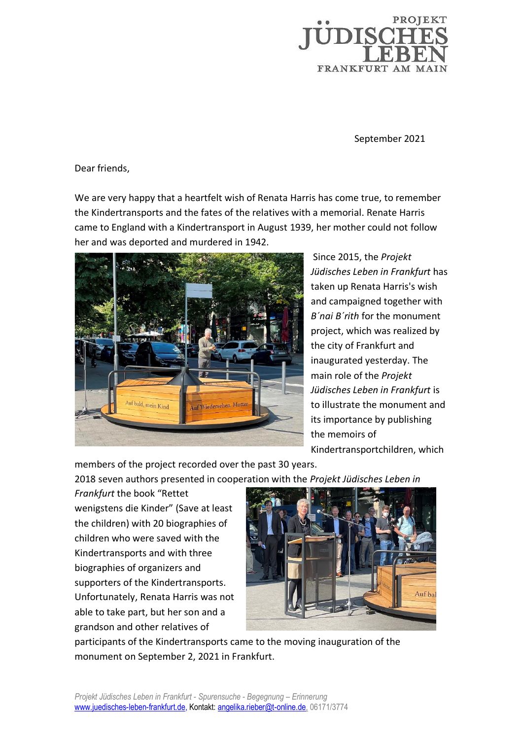

September 2021

Dear friends,

We are very happy that a heartfelt wish of Renata Harris has come true, to remember the Kindertransports and the fates of the relatives with a memorial. Renate Harris came to England with a Kindertransport in August 1939, her mother could not follow her and was deported and murdered in 1942.



Since 2015, the *Projekt Jüdisches Leben in Frankfurt* has taken up Renata Harris's wish and campaigned together with *B´nai B´rith* for the monument project, which was realized by the city of Frankfurt and inaugurated yesterday. The main role of the *Projekt Jüdisches Leben in Frankfurt* is to illustrate the monument and its importance by publishing the memoirs of Kindertransportchildren, which

members of the project recorded over the past 30 years.

2018 seven authors presented in cooperation with the *Projekt Jüdisches Leben in* 

*Frankfurt* the book "Rettet wenigstens die Kinder" (Save at least the children) with 20 biographies of children who were saved with the Kindertransports and with three biographies of organizers and supporters of the Kindertransports. Unfortunately, Renata Harris was not able to take part, but her son and a grandson and other relatives of



participants of the Kindertransports came to the moving inauguration of the monument on September 2, 2021 in Frankfurt.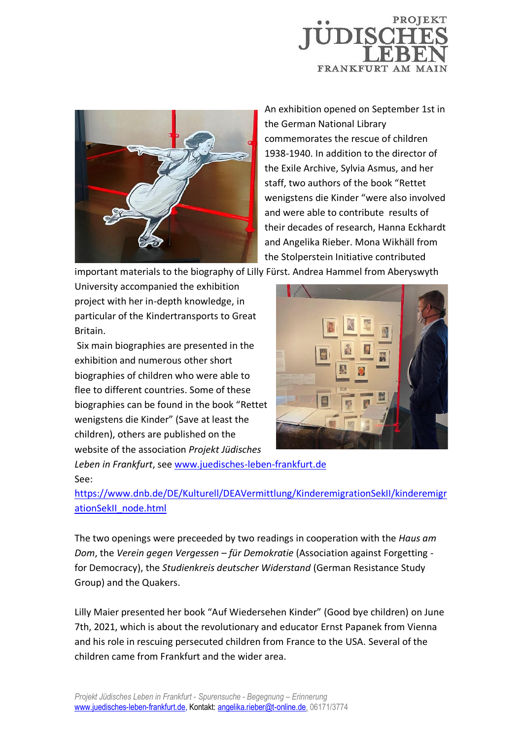



An exhibition opened on September 1st in the German National Library commemorates the rescue of children 1938-1940. In addition to the director of the Exile Archive, Sylvia Asmus, and her staff, two authors of the book "Rettet wenigstens die Kinder "were also involved and were able to contribute results of their decades of research, Hanna Eckhardt and Angelika Rieber. Mona Wikhäll from the Stolperstein Initiative contributed

important materials to the biography of Lilly Fürst. Andrea Hammel from Aberyswyth

University accompanied the exhibition project with her in-depth knowledge, in particular of the Kindertransports to Great Britain.

Six main biographies are presented in the exhibition and numerous other short biographies of children who were able to flee to different countries. Some of these biographies can be found in the book "Rettet wenigstens die Kinder" (Save at least the children), others are published on the website of the association *Projekt Jüdisches* 



*Leben in Frankfurt*, se[e www.juedisches-leben-frankfurt.de](http://www.juedisches-leben-frankfurt.de/) See:

[https://www.dnb.de/DE/Kulturell/DEAVermittlung/KinderemigrationSekII/kinderemigr](https://www.dnb.de/DE/Kulturell/DEAVermittlung/KinderemigrationSekII/kinderemigrationSekII_node.html) [ationSekII\\_node.html](https://www.dnb.de/DE/Kulturell/DEAVermittlung/KinderemigrationSekII/kinderemigrationSekII_node.html)

The two openings were preceeded by two readings in cooperation with the *Haus am Dom*, the *Verein gegen Vergessen – für Demokratie* (Association against Forgetting for Democracy), the *Studienkreis deutscher Widerstand* (German Resistance Study Group) and the Quakers.

Lilly Maier presented her book "Auf Wiedersehen Kinder" (Good bye children) on June 7th, 2021, which is about the revolutionary and educator Ernst Papanek from Vienna and his role in rescuing persecuted children from France to the USA. Several of the children came from Frankfurt and the wider area.